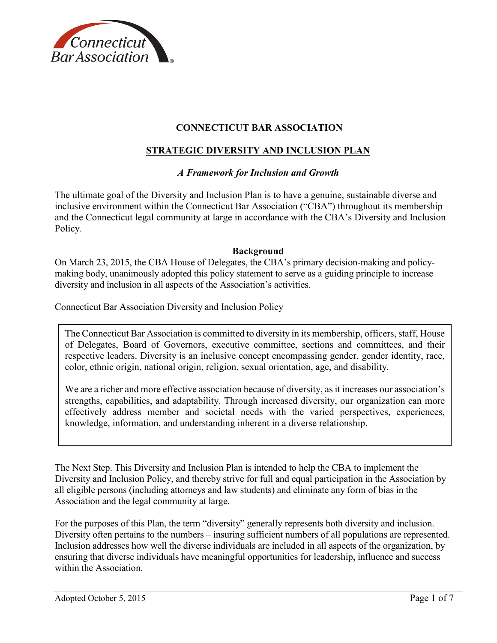

# **CONNECTICUT BAR ASSOCIATION**

## **STRATEGIC DIVERSITY AND INCLUSION PLAN**

### *A Framework for Inclusion and Growth*

The ultimate goal of the Diversity and Inclusion Plan is to have a genuine, sustainable diverse and inclusive environment within the Connecticut Bar Association ("CBA") throughout its membership and the Connecticut legal community at large in accordance with the CBA's Diversity and Inclusion Policy.

#### **Background**

On March 23, 2015, the CBA House of Delegates, the CBA's primary decision-making and policymaking body, unanimously adopted this policy statement to serve as a guiding principle to increase diversity and inclusion in all aspects of the Association's activities.

Connecticut Bar Association Diversity and Inclusion Policy

The Connecticut Bar Association is committed to diversity in its membership, officers, staff, House of Delegates, Board of Governors, executive committee, sections and committees, and their respective leaders. Diversity is an inclusive concept encompassing gender, gender identity, race, color, ethnic origin, national origin, religion, sexual orientation, age, and disability.

We are a richer and more effective association because of diversity, as it increases our association's strengths, capabilities, and adaptability. Through increased diversity, our organization can more effectively address member and societal needs with the varied perspectives, experiences, knowledge, information, and understanding inherent in a diverse relationship.

The Next Step. This Diversity and Inclusion Plan is intended to help the CBA to implement the Diversity and Inclusion Policy, and thereby strive for full and equal participation in the Association by all eligible persons (including attorneys and law students) and eliminate any form of bias in the Association and the legal community at large.

For the purposes of this Plan, the term "diversity" generally represents both diversity and inclusion. Diversity often pertains to the numbers – insuring sufficient numbers of all populations are represented. Inclusion addresses how well the diverse individuals are included in all aspects of the organization, by ensuring that diverse individuals have meaningful opportunities for leadership, influence and success within the Association.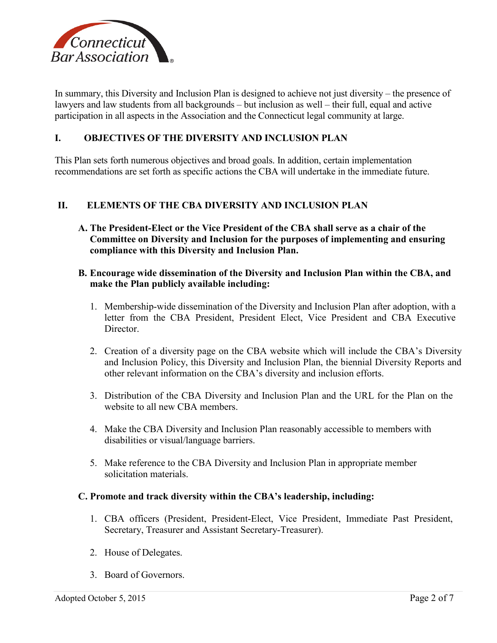

In summary, this Diversity and Inclusion Plan is designed to achieve not just diversity – the presence of lawyers and law students from all backgrounds – but inclusion as well – their full, equal and active participation in all aspects in the Association and the Connecticut legal community at large.

### **I. OBJECTIVES OF THE DIVERSITY AND INCLUSION PLAN**

This Plan sets forth numerous objectives and broad goals. In addition, certain implementation recommendations are set forth as specific actions the CBA will undertake in the immediate future.

### **II. ELEMENTS OF THE CBA DIVERSITY AND INCLUSION PLAN**

- **A. The President-Elect or the Vice President of the CBA shall serve as a chair of the Committee on Diversity and Inclusion for the purposes of implementing and ensuring compliance with this Diversity and Inclusion Plan.**
- **B. Encourage wide dissemination of the Diversity and Inclusion Plan within the CBA, and make the Plan publicly available including:**
	- 1. Membership-wide dissemination of the Diversity and Inclusion Plan after adoption, with a letter from the CBA President, President Elect, Vice President and CBA Executive **Director**
	- 2. Creation of a diversity page on the CBA website which will include the CBA's Diversity and Inclusion Policy, this Diversity and Inclusion Plan, the biennial Diversity Reports and other relevant information on the CBA's diversity and inclusion efforts.
	- 3. Distribution of the CBA Diversity and Inclusion Plan and the URL for the Plan on the website to all new CBA members.
	- 4. Make the CBA Diversity and Inclusion Plan reasonably accessible to members with disabilities or visual/language barriers.
	- 5. Make reference to the CBA Diversity and Inclusion Plan in appropriate member solicitation materials.

#### **C. Promote and track diversity within the CBA's leadership, including:**

- 1. CBA officers (President, President-Elect, Vice President, Immediate Past President, Secretary, Treasurer and Assistant Secretary-Treasurer).
- 2. House of Delegates.
- 3. Board of Governors.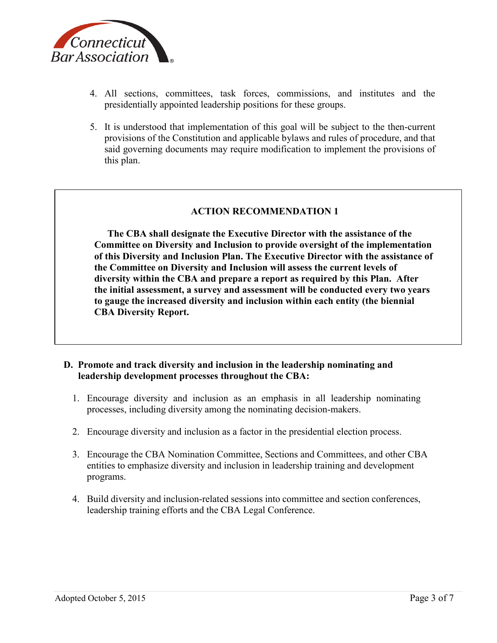

- 4. All sections, committees, task forces, commissions, and institutes and the presidentially appointed leadership positions for these groups.
- 5. It is understood that implementation of this goal will be subject to the then-current provisions of the Constitution and applicable bylaws and rules of procedure, and that said governing documents may require modification to implement the provisions of this plan.

**The CBA shall designate the Executive Director with the assistance of the Committee on Diversity and Inclusion to provide oversight of the implementation of this Diversity and Inclusion Plan. The Executive Director with the assistance of the Committee on Diversity and Inclusion will assess the current levels of diversity within the CBA and prepare a report as required by this Plan. After the initial assessment, a survey and assessment will be conducted every two years to gauge the increased diversity and inclusion within each entity (the biennial CBA Diversity Report.**

## **D. Promote and track diversity and inclusion in the leadership nominating and leadership development processes throughout the CBA:**

- 1. Encourage diversity and inclusion as an emphasis in all leadership nominating processes, including diversity among the nominating decision-makers.
- 2. Encourage diversity and inclusion as a factor in the presidential election process.
- 3. Encourage the CBA Nomination Committee, Sections and Committees, and other CBA entities to emphasize diversity and inclusion in leadership training and development programs.
- 4. Build diversity and inclusion-related sessions into committee and section conferences, leadership training efforts and the CBA Legal Conference.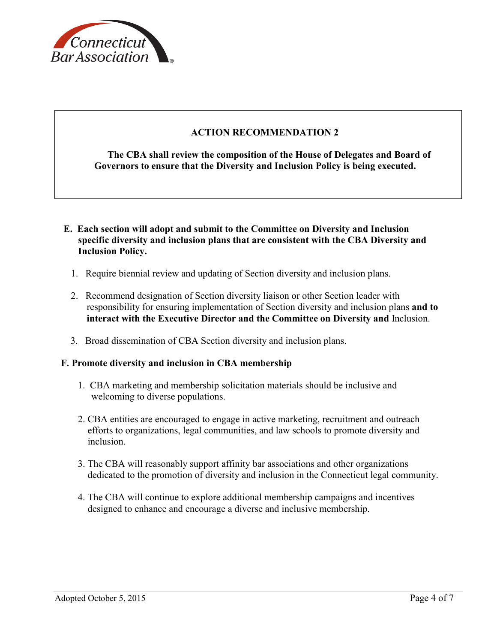

**The CBA shall review the composition of the House of Delegates and Board of Governors to ensure that the Diversity and Inclusion Policy is being executed.**

- **E. Each section will adopt and submit to the Committee on Diversity and Inclusion specific diversity and inclusion plans that are consistent with the CBA Diversity and Inclusion Policy.** 
	- 1. Require biennial review and updating of Section diversity and inclusion plans.
	- 2. Recommend designation of Section diversity liaison or other Section leader with responsibility for ensuring implementation of Section diversity and inclusion plans **and to interact with the Executive Director and the Committee on Diversity and** Inclusion.
	- 3. Broad dissemination of CBA Section diversity and inclusion plans.

#### **F. Promote diversity and inclusion in CBA membership**

- 1. CBA marketing and membership solicitation materials should be inclusive and welcoming to diverse populations.
- 2. CBA entities are encouraged to engage in active marketing, recruitment and outreach efforts to organizations, legal communities, and law schools to promote diversity and inclusion.
- 3. The CBA will reasonably support affinity bar associations and other organizations dedicated to the promotion of diversity and inclusion in the Connecticut legal community.
- 4. The CBA will continue to explore additional membership campaigns and incentives designed to enhance and encourage a diverse and inclusive membership.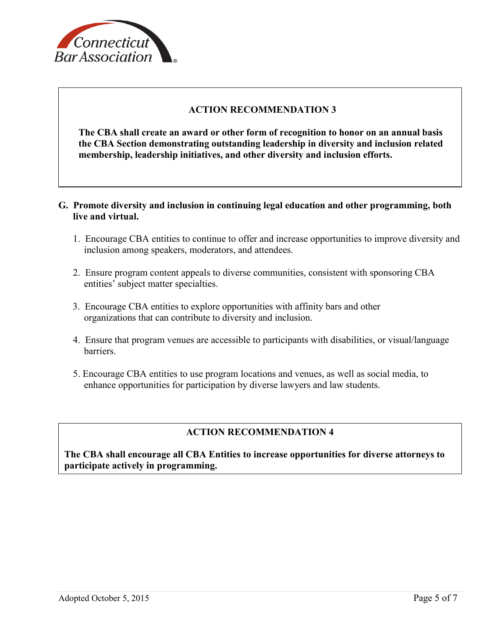

**The CBA shall create an award or other form of recognition to honor on an annual basis the CBA Section demonstrating outstanding leadership in diversity and inclusion related membership, leadership initiatives, and other diversity and inclusion efforts.**

- **G. Promote diversity and inclusion in continuing legal education and other programming, both live and virtual.** 
	- 1. Encourage CBA entities to continue to offer and increase opportunities to improve diversity and inclusion among speakers, moderators, and attendees.
	- 2. Ensure program content appeals to diverse communities, consistent with sponsoring CBA entities' subject matter specialties.
	- 3. Encourage CBA entities to explore opportunities with affinity bars and other organizations that can contribute to diversity and inclusion.
	- 4. Ensure that program venues are accessible to participants with disabilities, or visual/language barriers.
	- 5. Encourage CBA entities to use program locations and venues, as well as social media, to enhance opportunities for participation by diverse lawyers and law students.

# **ACTION RECOMMENDATION 4**

**The CBA shall encourage all CBA Entities to increase opportunities for diverse attorneys to participate actively in programming.**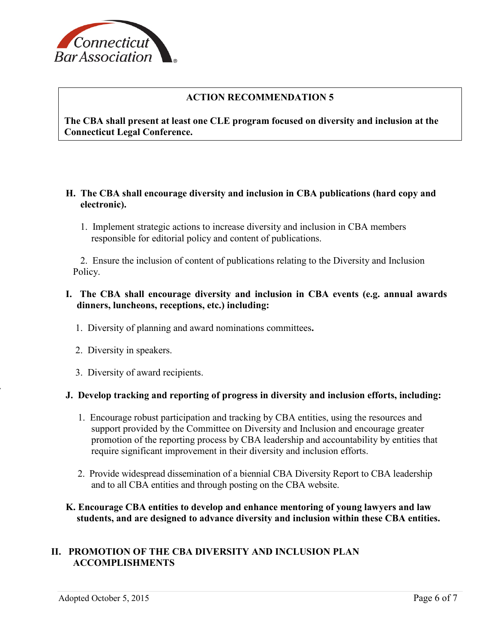

**The CBA shall present at least one CLE program focused on diversity and inclusion at the Connecticut Legal Conference.**

- **H. The CBA shall encourage diversity and inclusion in CBA publications (hard copy and electronic).**
	- 1. Implement strategic actions to increase diversity and inclusion in CBA members responsible for editorial policy and content of publications.

 2. Ensure the inclusion of content of publications relating to the Diversity and Inclusion Policy.

## **I. The CBA shall encourage diversity and inclusion in CBA events (e.g. annual awards dinners, luncheons, receptions, etc.) including:**

- 1. Diversity of planning and award nominations committees**.**
- 2. Diversity in speakers.
- 3. Diversity of award recipients.

#### **J. Develop tracking and reporting of progress in diversity and inclusion efforts, including:**

- 1. Encourage robust participation and tracking by CBA entities, using the resources and support provided by the Committee on Diversity and Inclusion and encourage greater promotion of the reporting process by CBA leadership and accountability by entities that require significant improvement in their diversity and inclusion efforts.
- 2. Provide widespread dissemination of a biennial CBA Diversity Report to CBA leadership and to all CBA entities and through posting on the CBA website.

### **K. Encourage CBA entities to develop and enhance mentoring of young lawyers and law students, and are designed to advance diversity and inclusion within these CBA entities.**

## **II. PROMOTION OF THE CBA DIVERSITY AND INCLUSION PLAN ACCOMPLISHMENTS**